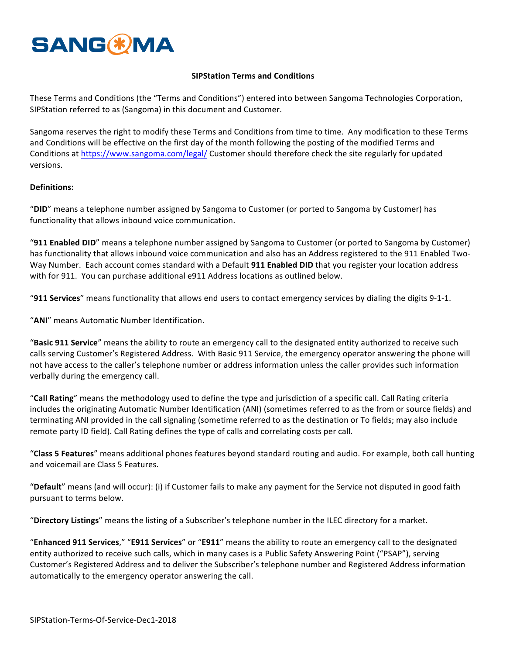# **SANG & MA**

## **SIPStation Terms and Conditions**

These Terms and Conditions (the "Terms and Conditions") entered into between Sangoma Technologies Corporation, SIPStation referred to as (Sangoma) in this document and Customer.

Sangoma reserves the right to modify these Terms and Conditions from time to time. Any modification to these Terms and Conditions will be effective on the first day of the month following the posting of the modified Terms and Conditions at https://www.sangoma.com/legal/ Customer should therefore check the site regularly for updated versions.

#### **Definitions:**

"DID" means a telephone number assigned by Sangoma to Customer (or ported to Sangoma by Customer) has functionality that allows inbound voice communication.

"911 Enabled DID" means a telephone number assigned by Sangoma to Customer (or ported to Sangoma by Customer) has functionality that allows inbound voice communication and also has an Address registered to the 911 Enabled Two-Way Number. Each account comes standard with a Default **911 Enabled DID** that you register your location address with for 911. You can purchase additional e911 Address locations as outlined below.

"**911 Services**" means functionality that allows end users to contact emergency services by dialing the digits 9-1-1.

"**ANI**" means Automatic Number Identification.

"Basic 911 Service" means the ability to route an emergency call to the designated entity authorized to receive such calls serving Customer's Registered Address. With Basic 911 Service, the emergency operator answering the phone will not have access to the caller's telephone number or address information unless the caller provides such information verbally during the emergency call.

"**Call Rating**" means the methodology used to define the type and jurisdiction of a specific call. Call Rating criteria includes the originating Automatic Number Identification (ANI) (sometimes referred to as the from or source fields) and terminating ANI provided in the call signaling (sometime referred to as the destination or To fields; may also include remote party ID field). Call Rating defines the type of calls and correlating costs per call.

"Class 5 Features" means additional phones features beyond standard routing and audio. For example, both call hunting and voicemail are Class 5 Features.

"Default" means (and will occur): (i) if Customer fails to make any payment for the Service not disputed in good faith pursuant to terms below.

"Directory Listings" means the listing of a Subscriber's telephone number in the ILEC directory for a market.

"Enhanced 911 Services," "E911 Services" or "E911" means the ability to route an emergency call to the designated entity authorized to receive such calls, which in many cases is a Public Safety Answering Point ("PSAP"), serving Customer's Registered Address and to deliver the Subscriber's telephone number and Registered Address information automatically to the emergency operator answering the call.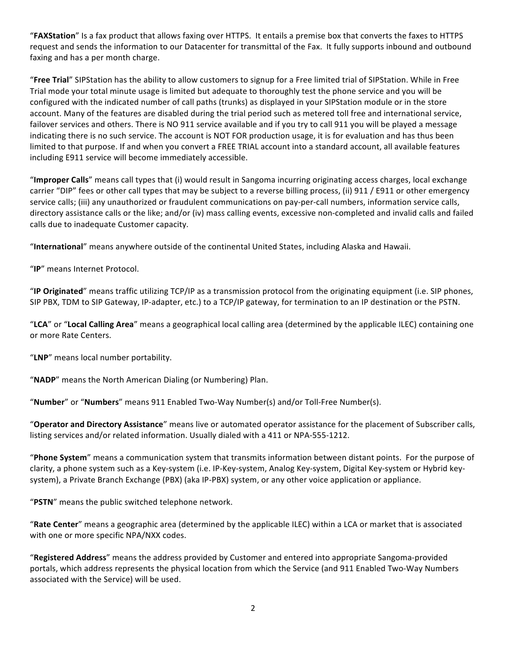"FAXStation" Is a fax product that allows faxing over HTTPS. It entails a premise box that converts the faxes to HTTPS request and sends the information to our Datacenter for transmittal of the Fax. It fully supports inbound and outbound faxing and has a per month charge.

"**Free Trial**" SIPStation has the ability to allow customers to signup for a Free limited trial of SIPStation. While in Free Trial mode your total minute usage is limited but adequate to thoroughly test the phone service and you will be configured with the indicated number of call paths (trunks) as displayed in your SIPStation module or in the store account. Many of the features are disabled during the trial period such as metered toll free and international service, failover services and others. There is NO 911 service available and if you try to call 911 you will be played a message indicating there is no such service. The account is NOT FOR production usage, it is for evaluation and has thus been limited to that purpose. If and when you convert a FREE TRIAL account into a standard account, all available features including E911 service will become immediately accessible.

"Improper Calls" means call types that (i) would result in Sangoma incurring originating access charges, local exchange carrier "DIP" fees or other call types that may be subject to a reverse billing process, (ii) 911 / E911 or other emergency service calls; (iii) any unauthorized or fraudulent communications on pay-per-call numbers, information service calls, directory assistance calls or the like; and/or (iv) mass calling events, excessive non-completed and invalid calls and failed calls due to inadequate Customer capacity.

"**International**" means anywhere outside of the continental United States, including Alaska and Hawaii.

"**IP**" means Internet Protocol. 

"IP Originated" means traffic utilizing TCP/IP as a transmission protocol from the originating equipment (i.e. SIP phones, SIP PBX, TDM to SIP Gateway, IP-adapter, etc.) to a TCP/IP gateway, for termination to an IP destination or the PSTN.

"LCA" or "Local Calling Area" means a geographical local calling area (determined by the applicable ILEC) containing one or more Rate Centers.

"LNP" means local number portability.

"**NADP**" means the North American Dialing (or Numbering) Plan.

"**Number**" or "**Numbers**" means 911 Enabled Two-Way Number(s) and/or Toll-Free Number(s).

"**Operator and Directory Assistance**" means live or automated operator assistance for the placement of Subscriber calls, listing services and/or related information. Usually dialed with a 411 or NPA-555-1212.

"Phone System" means a communication system that transmits information between distant points. For the purpose of clarity, a phone system such as a Key-system (i.e. IP-Key-system, Analog Key-system, Digital Key-system or Hybrid keysystem), a Private Branch Exchange (PBX) (aka IP-PBX) system, or any other voice application or appliance.

"PSTN" means the public switched telephone network.

"Rate Center" means a geographic area (determined by the applicable ILEC) within a LCA or market that is associated with one or more specific NPA/NXX codes.

"Registered Address" means the address provided by Customer and entered into appropriate Sangoma-provided portals, which address represents the physical location from which the Service (and 911 Enabled Two-Way Numbers associated with the Service) will be used.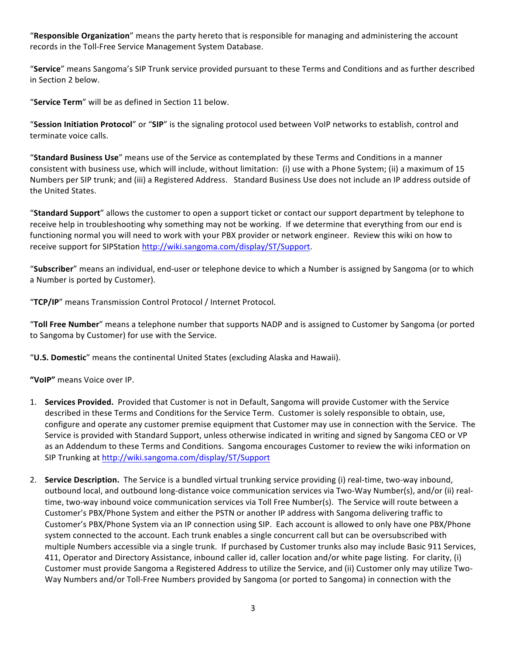"Responsible Organization" means the party hereto that is responsible for managing and administering the account records in the Toll-Free Service Management System Database.

"Service" means Sangoma's SIP Trunk service provided pursuant to these Terms and Conditions and as further described in Section 2 below.

"Service Term" will be as defined in Section 11 below.

"Session Initiation Protocol" or "SIP" is the signaling protocol used between VoIP networks to establish, control and terminate voice calls.

"Standard Business Use" means use of the Service as contemplated by these Terms and Conditions in a manner consistent with business use, which will include, without limitation: (i) use with a Phone System; (ii) a maximum of 15 Numbers per SIP trunk; and (iii) a Registered Address. Standard Business Use does not include an IP address outside of the United States.

"Standard Support" allows the customer to open a support ticket or contact our support department by telephone to receive help in troubleshooting why something may not be working. If we determine that everything from our end is functioning normal you will need to work with your PBX provider or network engineer. Review this wiki on how to receive support for SIPStation http://wiki.sangoma.com/display/ST/Support.

"Subscriber" means an individual, end-user or telephone device to which a Number is assigned by Sangoma (or to which a Number is ported by Customer).

"TCP/IP" means Transmission Control Protocol / Internet Protocol.

**"Toll Free Number**" means a telephone number that supports NADP and is assigned to Customer by Sangoma (or ported to Sangoma by Customer) for use with the Service.

"**U.S. Domestic**" means the continental United States (excluding Alaska and Hawaii).

"VoIP" means Voice over IP.

- 1. **Services Provided.** Provided that Customer is not in Default, Sangoma will provide Customer with the Service described in these Terms and Conditions for the Service Term. Customer is solely responsible to obtain, use, configure and operate any customer premise equipment that Customer may use in connection with the Service. The Service is provided with Standard Support, unless otherwise indicated in writing and signed by Sangoma CEO or VP as an Addendum to these Terms and Conditions. Sangoma encourages Customer to review the wiki information on SIP Trunking at http://wiki.sangoma.com/display/ST/Support
- 2. **Service Description.** The Service is a bundled virtual trunking service providing (i) real-time, two-way inbound, outbound local, and outbound long-distance voice communication services via Two-Way Number(s), and/or (ii) realtime, two-way inbound voice communication services via Toll Free Number(s). The Service will route between a Customer's PBX/Phone System and either the PSTN or another IP address with Sangoma delivering traffic to Customer's PBX/Phone System via an IP connection using SIP. Each account is allowed to only have one PBX/Phone system connected to the account. Each trunk enables a single concurrent call but can be oversubscribed with multiple Numbers accessible via a single trunk. If purchased by Customer trunks also may include Basic 911 Services, 411, Operator and Directory Assistance, inbound caller id, caller location and/or white page listing. For clarity, (i) Customer must provide Sangoma a Registered Address to utilize the Service, and (ii) Customer only may utilize Two-Way Numbers and/or Toll-Free Numbers provided by Sangoma (or ported to Sangoma) in connection with the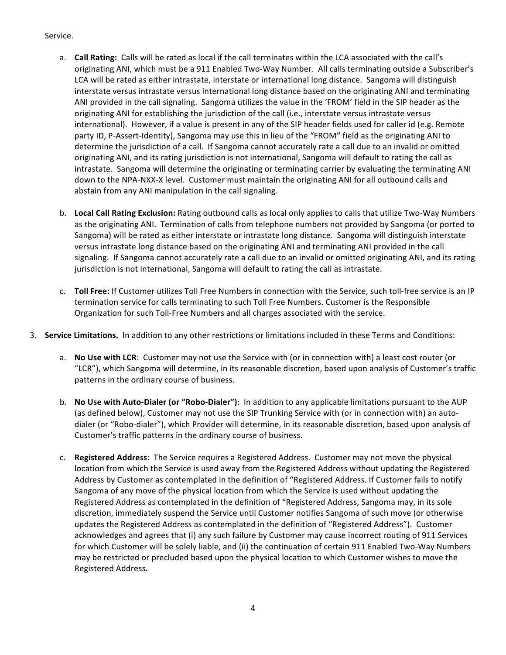#### Service.

- a. **Call Rating:** Calls will be rated as local if the call terminates within the LCA associated with the call's originating ANI, which must be a 911 Enabled Two-Way Number. All calls terminating outside a Subscriber's LCA will be rated as either intrastate, interstate or international long distance. Sangoma will distinguish interstate versus intrastate versus international long distance based on the originating ANI and terminating ANI provided in the call signaling. Sangoma utilizes the value in the 'FROM' field in the SIP header as the originating ANI for establishing the jurisdiction of the call (i.e., interstate versus intrastate versus international). However, if a value is present in any of the SIP header fields used for caller id (e.g. Remote party ID, P-Assert-Identity), Sangoma may use this in lieu of the "FROM" field as the originating ANI to determine the jurisdiction of a call. If Sangoma cannot accurately rate a call due to an invalid or omitted originating ANI, and its rating jurisdiction is not international, Sangoma will default to rating the call as intrastate. Sangoma will determine the originating or terminating carrier by evaluating the terminating ANI down to the NPA-NXX-X level. Customer must maintain the originating ANI for all outbound calls and abstain from any ANI manipulation in the call signaling.
- b. Local Call Rating Exclusion: Rating outbound calls as local only applies to calls that utilize Two-Way Numbers as the originating ANI. Termination of calls from telephone numbers not provided by Sangoma (or ported to Sangoma) will be rated as either interstate or intrastate long distance. Sangoma will distinguish interstate versus intrastate long distance based on the originating ANI and terminating ANI provided in the call signaling. If Sangoma cannot accurately rate a call due to an invalid or omitted originating ANI, and its rating jurisdiction is not international, Sangoma will default to rating the call as intrastate.
- c. Toll Free: If Customer utilizes Toll Free Numbers in connection with the Service, such toll-free service is an IP termination service for calls terminating to such Toll Free Numbers. Customer is the Responsible Organization for such Toll-Free Numbers and all charges associated with the service.
- 3. **Service Limitations.** In addition to any other restrictions or limitations included in these Terms and Conditions:
	- a. **No Use with LCR**: Customer may not use the Service with (or in connection with) a least cost router (or "LCR"), which Sangoma will determine, in its reasonable discretion, based upon analysis of Customer's traffic patterns in the ordinary course of business.
	- b. **No Use with Auto-Dialer (or "Robo-Dialer")**: In addition to any applicable limitations pursuant to the AUP (as defined below), Customer may not use the SIP Trunking Service with (or in connection with) an autodialer (or "Robo-dialer"), which Provider will determine, in its reasonable discretion, based upon analysis of Customer's traffic patterns in the ordinary course of business.
	- c. **Registered Address**: The Service requires a Registered Address. Customer may not move the physical location from which the Service is used away from the Registered Address without updating the Registered Address by Customer as contemplated in the definition of "Registered Address. If Customer fails to notify Sangoma of any move of the physical location from which the Service is used without updating the Registered Address as contemplated in the definition of "Registered Address, Sangoma may, in its sole discretion, immediately suspend the Service until Customer notifies Sangoma of such move (or otherwise updates the Registered Address as contemplated in the definition of "Registered Address"). Customer acknowledges and agrees that (i) any such failure by Customer may cause incorrect routing of 911 Services for which Customer will be solely liable, and (ii) the continuation of certain 911 Enabled Two-Way Numbers may be restricted or precluded based upon the physical location to which Customer wishes to move the Registered Address.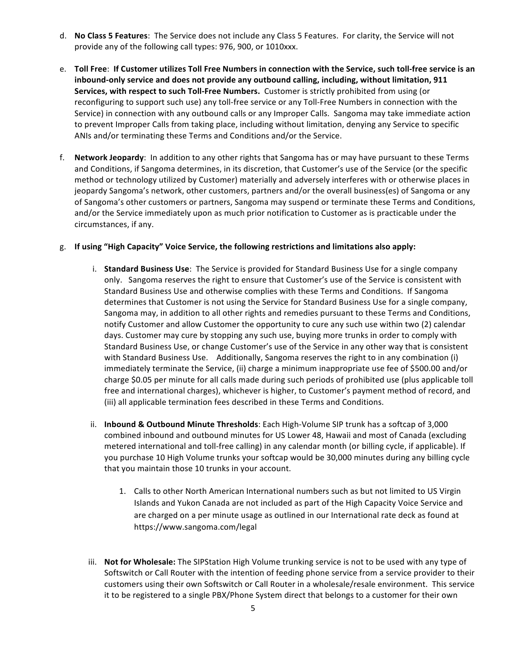- d. **No Class 5 Features**: The Service does not include any Class 5 Features. For clarity, the Service will not provide any of the following call types: 976, 900, or 1010xxx.
- e. Toll Free: If Customer utilizes Toll Free Numbers in connection with the Service, such toll-free service is an inbound-only service and does not provide any outbound calling, including, without limitation, 911 **Services, with respect to such Toll-Free Numbers.** Customer is strictly prohibited from using (or reconfiguring to support such use) any toll-free service or any Toll-Free Numbers in connection with the Service) in connection with any outbound calls or any Improper Calls. Sangoma may take immediate action to prevent Improper Calls from taking place, including without limitation, denying any Service to specific ANIs and/or terminating these Terms and Conditions and/or the Service.
- f. **Network Jeopardy**: In addition to any other rights that Sangoma has or may have pursuant to these Terms and Conditions, if Sangoma determines, in its discretion, that Customer's use of the Service (or the specific method or technology utilized by Customer) materially and adversely interferes with or otherwise places in jeopardy Sangoma's network, other customers, partners and/or the overall business(es) of Sangoma or any of Sangoma's other customers or partners, Sangoma may suspend or terminate these Terms and Conditions, and/or the Service immediately upon as much prior notification to Customer as is practicable under the circumstances, if any.

#### g. If using "High Capacity" Voice Service, the following restrictions and limitations also apply:

- i. **Standard Business Use**: The Service is provided for Standard Business Use for a single company only. Sangoma reserves the right to ensure that Customer's use of the Service is consistent with Standard Business Use and otherwise complies with these Terms and Conditions. If Sangoma determines that Customer is not using the Service for Standard Business Use for a single company, Sangoma may, in addition to all other rights and remedies pursuant to these Terms and Conditions, notify Customer and allow Customer the opportunity to cure any such use within two (2) calendar days. Customer may cure by stopping any such use, buying more trunks in order to comply with Standard Business Use, or change Customer's use of the Service in any other way that is consistent with Standard Business Use. Additionally, Sangoma reserves the right to in any combination (i) immediately terminate the Service, (ii) charge a minimum inappropriate use fee of \$500.00 and/or charge \$0.05 per minute for all calls made during such periods of prohibited use (plus applicable toll free and international charges), whichever is higher, to Customer's payment method of record, and (iii) all applicable termination fees described in these Terms and Conditions.
- ii. **Inbound & Outbound Minute Thresholds**: Each High-Volume SIP trunk has a softcap of 3,000 combined inbound and outbound minutes for US Lower 48, Hawaii and most of Canada (excluding metered international and toll-free calling) in any calendar month (or billing cycle, if applicable). If you purchase 10 High Volume trunks your softcap would be 30,000 minutes during any billing cycle that you maintain those 10 trunks in your account.
	- 1. Calls to other North American International numbers such as but not limited to US Virgin Islands and Yukon Canada are not included as part of the High Capacity Voice Service and are charged on a per minute usage as outlined in our International rate deck as found at https://www.sangoma.com/legal
- iii. **Not for Wholesale:** The SIPStation High Volume trunking service is not to be used with any type of Softswitch or Call Router with the intention of feeding phone service from a service provider to their customers using their own Softswitch or Call Router in a wholesale/resale environment. This service it to be registered to a single PBX/Phone System direct that belongs to a customer for their own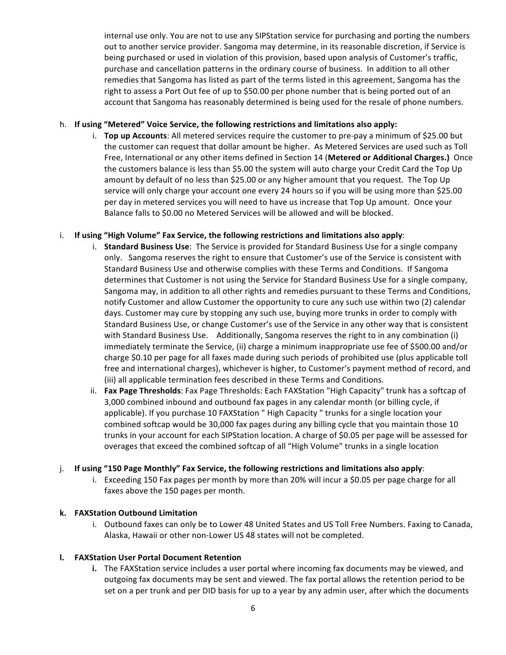internal use only. You are not to use any SIPStation service for purchasing and porting the numbers out to another service provider. Sangoma may determine, in its reasonable discretion, if Service is being purchased or used in violation of this provision, based upon analysis of Customer's traffic, purchase and cancellation patterns in the ordinary course of business. In addition to all other remedies that Sangoma has listed as part of the terms listed in this agreement, Sangoma has the right to assess a Port Out fee of up to \$50.00 per phone number that is being ported out of an account that Sangoma has reasonably determined is being used for the resale of phone numbers.

### h. If using "Metered" Voice Service, the following restrictions and limitations also apply:

i. **Top up Accounts**: All metered services require the customer to pre-pay a minimum of \$25.00 but the customer can request that dollar amount be higher. As Metered Services are used such as Toll Free, International or any other items defined in Section 14 (Metered or Additional Charges.) Once the customers balance is less than \$5.00 the system will auto charge your Credit Card the Top Up amount by default of no less than \$25.00 or any higher amount that you request. The Top Up service will only charge your account one every 24 hours so if you will be using more than \$25.00 per day in metered services you will need to have us increase that Top Up amount. Once your Balance falls to \$0.00 no Metered Services will be allowed and will be blocked.

## i. If using "High Volume" Fax Service, the following restrictions and limitations also apply:

- i. **Standard Business Use**: The Service is provided for Standard Business Use for a single company only. Sangoma reserves the right to ensure that Customer's use of the Service is consistent with Standard Business Use and otherwise complies with these Terms and Conditions. If Sangoma determines that Customer is not using the Service for Standard Business Use for a single company, Sangoma may, in addition to all other rights and remedies pursuant to these Terms and Conditions, notify Customer and allow Customer the opportunity to cure any such use within two (2) calendar days. Customer may cure by stopping any such use, buying more trunks in order to comply with Standard Business Use, or change Customer's use of the Service in any other way that is consistent with Standard Business Use. Additionally, Sangoma reserves the right to in any combination (i) immediately terminate the Service, (ii) charge a minimum inappropriate use fee of \$500.00 and/or charge \$0.10 per page for all faxes made during such periods of prohibited use (plus applicable toll free and international charges), whichever is higher, to Customer's payment method of record, and (iii) all applicable termination fees described in these Terms and Conditions.
- ii. Fax Page Thresholds: Fax Page Thresholds: Each FAXStation "High Capacity" trunk has a softcap of 3,000 combined inbound and outbound fax pages in any calendar month (or billing cycle, if applicable). If you purchase 10 FAXStation " High Capacity " trunks for a single location your combined softcap would be 30,000 fax pages during any billing cycle that you maintain those 10 trunks in your account for each SIPStation location. A charge of \$0.05 per page will be assessed for overages that exceed the combined softcap of all "High Volume" trunks in a single location

## j. If using "150 Page Monthly" Fax Service, the following restrictions and limitations also apply:

i. Exceeding 150 Fax pages per month by more than 20% will incur a \$0.05 per page charge for all faxes above the 150 pages per month.

#### **k. FAXStation Outbound Limitation**

i. Outbound faxes can only be to Lower 48 United States and US Toll Free Numbers. Faxing to Canada, Alaska, Hawaii or other non-Lower US 48 states will not be completed.

#### **l. FAXStation User Portal Document Retention**

**i.** The FAXStation service includes a user portal where incoming fax documents may be viewed, and outgoing fax documents may be sent and viewed. The fax portal allows the retention period to be set on a per trunk and per DID basis for up to a year by any admin user, after which the documents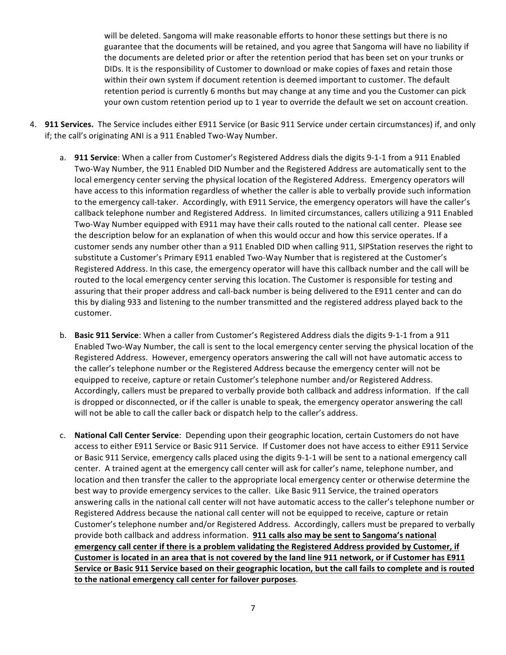will be deleted. Sangoma will make reasonable efforts to honor these settings but there is no guarantee that the documents will be retained, and you agree that Sangoma will have no liability if the documents are deleted prior or after the retention period that has been set on your trunks or DIDs. It is the responsibility of Customer to download or make copies of faxes and retain those within their own system if document retention is deemed important to customer. The default retention period is currently 6 months but may change at any time and you the Customer can pick your own custom retention period up to 1 year to override the default we set on account creation.

- 4. **911 Services.** The Service includes either E911 Service (or Basic 911 Service under certain circumstances) if, and only if; the call's originating ANI is a 911 Enabled Two-Way Number.
	- a. **911 Service**: When a caller from Customer's Registered Address dials the digits 9-1-1 from a 911 Enabled Two-Way Number, the 911 Enabled DID Number and the Registered Address are automatically sent to the local emergency center serving the physical location of the Registered Address. Emergency operators will have access to this information regardless of whether the caller is able to verbally provide such information to the emergency call-taker. Accordingly, with E911 Service, the emergency operators will have the caller's callback telephone number and Registered Address. In limited circumstances, callers utilizing a 911 Enabled Two-Way Number equipped with E911 may have their calls routed to the national call center. Please see the description below for an explanation of when this would occur and how this service operates. If a customer sends any number other than a 911 Enabled DID when calling 911, SIPStation reserves the right to substitute a Customer's Primary E911 enabled Two-Way Number that is registered at the Customer's Registered Address. In this case, the emergency operator will have this callback number and the call will be routed to the local emergency center serving this location. The Customer is responsible for testing and assuring that their proper address and call-back number is being delivered to the E911 center and can do this by dialing 933 and listening to the number transmitted and the registered address played back to the customer.
	- b. **Basic 911 Service**: When a caller from Customer's Registered Address dials the digits 9-1-1 from a 911 Enabled Two-Way Number, the call is sent to the local emergency center serving the physical location of the Registered Address. However, emergency operators answering the call will not have automatic access to the caller's telephone number or the Registered Address because the emergency center will not be equipped to receive, capture or retain Customer's telephone number and/or Registered Address. Accordingly, callers must be prepared to verbally provide both callback and address information. If the call is dropped or disconnected, or if the caller is unable to speak, the emergency operator answering the call will not be able to call the caller back or dispatch help to the caller's address.
	- c. **National Call Center Service**: Depending upon their geographic location, certain Customers do not have access to either E911 Service or Basic 911 Service. If Customer does not have access to either E911 Service or Basic 911 Service, emergency calls placed using the digits 9-1-1 will be sent to a national emergency call center. A trained agent at the emergency call center will ask for caller's name, telephone number, and location and then transfer the caller to the appropriate local emergency center or otherwise determine the best way to provide emergency services to the caller. Like Basic 911 Service, the trained operators answering calls in the national call center will not have automatic access to the caller's telephone number or Registered Address because the national call center will not be equipped to receive, capture or retain Customer's telephone number and/or Registered Address. Accordingly, callers must be prepared to verbally provide both callback and address information. **911 calls also may be sent to Sangoma's national** emergency call center if there is a problem validating the Registered Address provided by Customer, if Customer is located in an area that is not covered by the land line 911 network, or if Customer has E911 Service or Basic 911 Service based on their geographic location, but the call fails to complete and is routed to the national emergency call center for failover purposes.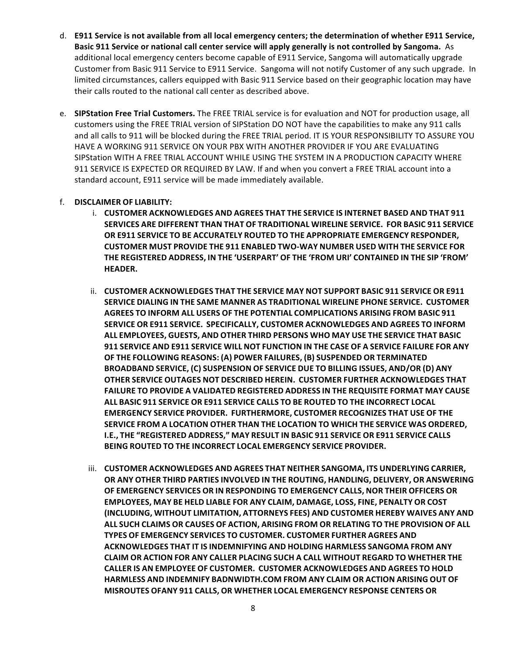- d. **E911 Service is not available from all local emergency centers; the determination of whether E911 Service, Basic 911 Service or national call center service will apply generally is not controlled by Sangoma.** As additional local emergency centers become capable of E911 Service, Sangoma will automatically upgrade Customer from Basic 911 Service to E911 Service. Sangoma will not notify Customer of any such upgrade. In limited circumstances, callers equipped with Basic 911 Service based on their geographic location may have their calls routed to the national call center as described above.
- e. SIPStation Free Trial Customers. The FREE TRIAL service is for evaluation and NOT for production usage, all customers using the FREE TRIAL version of SIPStation DO NOT have the capabilities to make any 911 calls and all calls to 911 will be blocked during the FREE TRIAL period. IT IS YOUR RESPONSIBILITY TO ASSURE YOU HAVE A WORKING 911 SERVICE ON YOUR PBX WITH ANOTHER PROVIDER IF YOU ARE EVALUATING SIPStation WITH A FREE TRIAL ACCOUNT WHILE USING THE SYSTEM IN A PRODUCTION CAPACITY WHERE 911 SERVICE IS EXPECTED OR REQUIRED BY LAW. If and when you convert a FREE TRIAL account into a standard account, E911 service will be made immediately available.

## f. **DISCLAIMER OF LIABILITY:**

- i. **CUSTOMER ACKNOWLEDGES AND AGREES THAT THE SERVICE IS INTERNET BASED AND THAT 911 SERVICES ARE DIFFERENT THAN THAT OF TRADITIONAL WIRELINE SERVICE. FOR BASIC 911 SERVICE OR E911 SERVICE TO BE ACCURATELY ROUTED TO THE APPROPRIATE EMERGENCY RESPONDER, CUSTOMER MUST PROVIDE THE 911 ENABLED TWO-WAY NUMBER USED WITH THE SERVICE FOR THE REGISTERED ADDRESS, IN THE 'USERPART' OF THE 'FROM URI' CONTAINED IN THE SIP 'FROM' HEADER.**
- ii. **CUSTOMER ACKNOWLEDGES THAT THE SERVICE MAY NOT SUPPORT BASIC 911 SERVICE OR E911 SERVICE DIALING IN THE SAME MANNER AS TRADITIONAL WIRELINE PHONE SERVICE. CUSTOMER AGREES TO INFORM ALL USERS OF THE POTENTIAL COMPLICATIONS ARISING FROM BASIC 911 SERVICE OR E911 SERVICE. SPECIFICALLY, CUSTOMER ACKNOWLEDGES AND AGREES TO INFORM ALL EMPLOYEES, GUESTS, AND OTHER THIRD PERSONS WHO MAY USE THE SERVICE THAT BASIC 911 SERVICE AND E911 SERVICE WILL NOT FUNCTION IN THE CASE OF A SERVICE FAILURE FOR ANY OF THE FOLLOWING REASONS: (A) POWER FAILURES, (B) SUSPENDED OR TERMINATED BROADBAND SERVICE, (C) SUSPENSION OF SERVICE DUE TO BILLING ISSUES, AND/OR (D) ANY OTHER SERVICE OUTAGES NOT DESCRIBED HEREIN. CUSTOMER FURTHER ACKNOWLEDGES THAT FAILURE TO PROVIDE A VALIDATED REGISTERED ADDRESS IN THE REQUISITE FORMAT MAY CAUSE ALL BASIC 911 SERVICE OR E911 SERVICE CALLS TO BE ROUTED TO THE INCORRECT LOCAL EMERGENCY SERVICE PROVIDER. FURTHERMORE, CUSTOMER RECOGNIZES THAT USE OF THE SERVICE FROM A LOCATION OTHER THAN THE LOCATION TO WHICH THE SERVICE WAS ORDERED, I.E., THE "REGISTERED ADDRESS," MAY RESULT IN BASIC 911 SERVICE OR E911 SERVICE CALLS BEING ROUTED TO THE INCORRECT LOCAL EMERGENCY SERVICE PROVIDER.**
- iii. **CUSTOMER ACKNOWLEDGES AND AGREES THAT NEITHER SANGOMA, ITS UNDERLYING CARRIER, OR ANY OTHER THIRD PARTIES INVOLVED IN THE ROUTING, HANDLING, DELIVERY, OR ANSWERING OF EMERGENCY SERVICES OR IN RESPONDING TO EMERGENCY CALLS, NOR THEIR OFFICERS OR EMPLOYEES, MAY BE HELD LIABLE FOR ANY CLAIM, DAMAGE, LOSS, FINE, PENALTY OR COST (INCLUDING, WITHOUT LIMITATION, ATTORNEYS FEES) AND CUSTOMER HEREBY WAIVES ANY AND ALL SUCH CLAIMS OR CAUSES OF ACTION, ARISING FROM OR RELATING TO THE PROVISION OF ALL TYPES OF EMERGENCY SERVICES TO CUSTOMER. CUSTOMER FURTHER AGREES AND ACKNOWLEDGES THAT IT IS INDEMNIFYING AND HOLDING HARMLESS SANGOMA FROM ANY CLAIM OR ACTION FOR ANY CALLER PLACING SUCH A CALL WITHOUT REGARD TO WHETHER THE CALLER IS AN EMPLOYEE OF CUSTOMER. CUSTOMER ACKNOWLEDGES AND AGREES TO HOLD HARMLESS AND INDEMNIFY BADNWIDTH.COM FROM ANY CLAIM OR ACTION ARISING OUT OF MISROUTES OFANY 911 CALLS, OR WHETHER LOCAL EMERGENCY RESPONSE CENTERS OR**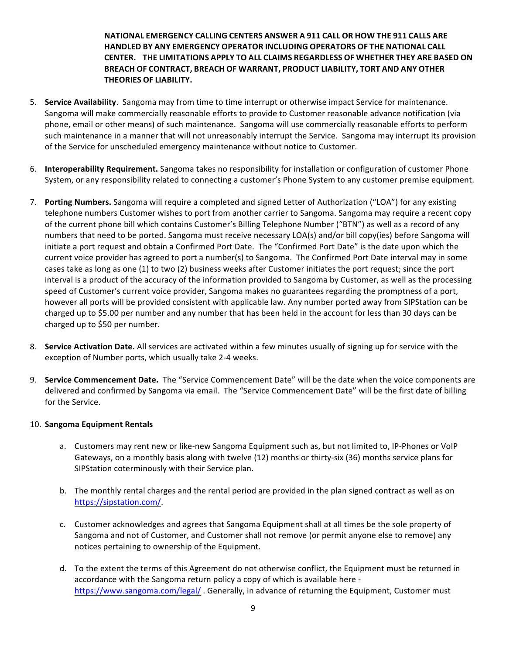## **NATIONAL EMERGENCY CALLING CENTERS ANSWER A 911 CALL OR HOW THE 911 CALLS ARE HANDLED BY ANY EMERGENCY OPERATOR INCLUDING OPERATORS OF THE NATIONAL CALL CENTER. THE LIMITATIONS APPLY TO ALL CLAIMS REGARDLESS OF WHETHER THEY ARE BASED ON BREACH OF CONTRACT, BREACH OF WARRANT, PRODUCT LIABILITY, TORT AND ANY OTHER THEORIES OF LIABILITY.**

- 5. **Service Availability**. Sangoma may from time to time interrupt or otherwise impact Service for maintenance. Sangoma will make commercially reasonable efforts to provide to Customer reasonable advance notification (via phone, email or other means) of such maintenance. Sangoma will use commercially reasonable efforts to perform such maintenance in a manner that will not unreasonably interrupt the Service. Sangoma may interrupt its provision of the Service for unscheduled emergency maintenance without notice to Customer.
- 6. **Interoperability Requirement.** Sangoma takes no responsibility for installation or configuration of customer Phone System, or any responsibility related to connecting a customer's Phone System to any customer premise equipment.
- 7. **Porting Numbers.** Sangoma will require a completed and signed Letter of Authorization ("LOA") for any existing telephone numbers Customer wishes to port from another carrier to Sangoma. Sangoma may require a recent copy of the current phone bill which contains Customer's Billing Telephone Number ("BTN") as well as a record of any numbers that need to be ported. Sangoma must receive necessary LOA(s) and/or bill copy(ies) before Sangoma will initiate a port request and obtain a Confirmed Port Date. The "Confirmed Port Date" is the date upon which the current voice provider has agreed to port a number(s) to Sangoma. The Confirmed Port Date interval may in some cases take as long as one (1) to two (2) business weeks after Customer initiates the port request; since the port interval is a product of the accuracy of the information provided to Sangoma by Customer, as well as the processing speed of Customer's current voice provider, Sangoma makes no guarantees regarding the promptness of a port, however all ports will be provided consistent with applicable law. Any number ported away from SIPStation can be charged up to \$5.00 per number and any number that has been held in the account for less than 30 days can be charged up to \$50 per number.
- 8. **Service Activation Date.** All services are activated within a few minutes usually of signing up for service with the exception of Number ports, which usually take 2-4 weeks.
- 9. **Service Commencement Date.** The "Service Commencement Date" will be the date when the voice components are delivered and confirmed by Sangoma via email. The "Service Commencement Date" will be the first date of billing for the Service.

#### 10. **Sangoma Equipment Rentals**

- a. Customers may rent new or like-new Sangoma Equipment such as, but not limited to, IP-Phones or VoIP Gateways, on a monthly basis along with twelve (12) months or thirty-six (36) months service plans for SIPStation coterminously with their Service plan.
- b. The monthly rental charges and the rental period are provided in the plan signed contract as well as on https://sipstation.com/.
- c. Customer acknowledges and agrees that Sangoma Equipment shall at all times be the sole property of Sangoma and not of Customer, and Customer shall not remove (or permit anyone else to remove) any notices pertaining to ownership of the Equipment.
- d. To the extent the terms of this Agreement do not otherwise conflict, the Equipment must be returned in accordance with the Sangoma return policy a copy of which is available here https://www.sangoma.com/legal/ . Generally, in advance of returning the Equipment, Customer must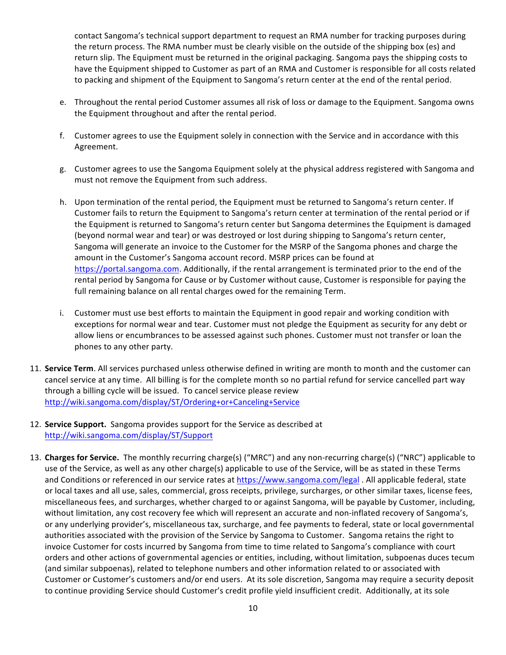contact Sangoma's technical support department to request an RMA number for tracking purposes during the return process. The RMA number must be clearly visible on the outside of the shipping box (es) and return slip. The Equipment must be returned in the original packaging. Sangoma pays the shipping costs to have the Equipment shipped to Customer as part of an RMA and Customer is responsible for all costs related to packing and shipment of the Equipment to Sangoma's return center at the end of the rental period.

- e. Throughout the rental period Customer assumes all risk of loss or damage to the Equipment. Sangoma owns the Equipment throughout and after the rental period.
- f. Customer agrees to use the Equipment solely in connection with the Service and in accordance with this Agreement.
- g. Customer agrees to use the Sangoma Equipment solely at the physical address registered with Sangoma and must not remove the Equipment from such address.
- h. Upon termination of the rental period, the Equipment must be returned to Sangoma's return center. If Customer fails to return the Equipment to Sangoma's return center at termination of the rental period or if the Equipment is returned to Sangoma's return center but Sangoma determines the Equipment is damaged (beyond normal wear and tear) or was destroyed or lost during shipping to Sangoma's return center, Sangoma will generate an invoice to the Customer for the MSRP of the Sangoma phones and charge the amount in the Customer's Sangoma account record. MSRP prices can be found at https://portal.sangoma.com. Additionally, if the rental arrangement is terminated prior to the end of the rental period by Sangoma for Cause or by Customer without cause, Customer is responsible for paying the full remaining balance on all rental charges owed for the remaining Term.
- i. Customer must use best efforts to maintain the Equipment in good repair and working condition with exceptions for normal wear and tear. Customer must not pledge the Equipment as security for any debt or allow liens or encumbrances to be assessed against such phones. Customer must not transfer or loan the phones to any other party.
- 11. **Service Term**. All services purchased unless otherwise defined in writing are month to month and the customer can cancel service at any time. All billing is for the complete month so no partial refund for service cancelled part way through a billing cycle will be issued. To cancel service please review http://wiki.sangoma.com/display/ST/Ordering+or+Canceling+Service
- 12. **Service Support.** Sangoma provides support for the Service as described at http://wiki.sangoma.com/display/ST/Support
- 13. Charges for Service. The monthly recurring charge(s) ("MRC") and any non-recurring charge(s) ("NRC") applicable to use of the Service, as well as any other charge(s) applicable to use of the Service, will be as stated in these Terms and Conditions or referenced in our service rates at https://www.sangoma.com/legal . All applicable federal, state or local taxes and all use, sales, commercial, gross receipts, privilege, surcharges, or other similar taxes, license fees, miscellaneous fees, and surcharges, whether charged to or against Sangoma, will be payable by Customer, including, without limitation, any cost recovery fee which will represent an accurate and non-inflated recovery of Sangoma's, or any underlying provider's, miscellaneous tax, surcharge, and fee payments to federal, state or local governmental authorities associated with the provision of the Service by Sangoma to Customer. Sangoma retains the right to invoice Customer for costs incurred by Sangoma from time to time related to Sangoma's compliance with court orders and other actions of governmental agencies or entities, including, without limitation, subpoenas duces tecum (and similar subpoenas), related to telephone numbers and other information related to or associated with Customer or Customer's customers and/or end users. At its sole discretion, Sangoma may require a security deposit to continue providing Service should Customer's credit profile yield insufficient credit. Additionally, at its sole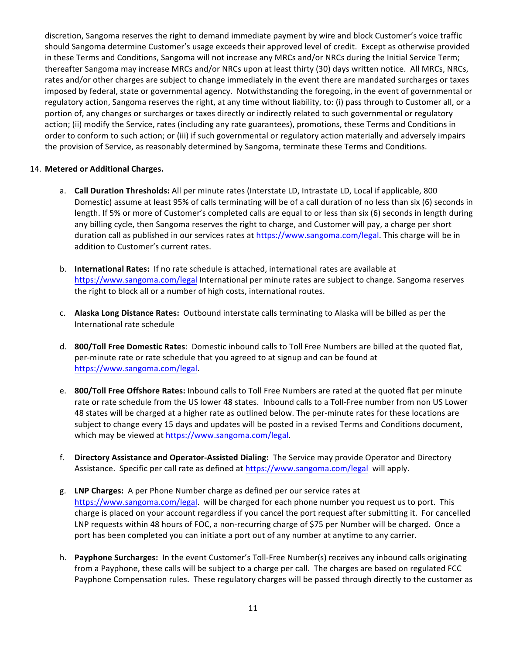discretion, Sangoma reserves the right to demand immediate payment by wire and block Customer's voice traffic should Sangoma determine Customer's usage exceeds their approved level of credit. Except as otherwise provided in these Terms and Conditions, Sangoma will not increase any MRCs and/or NRCs during the Initial Service Term; thereafter Sangoma may increase MRCs and/or NRCs upon at least thirty (30) days written notice. All MRCs, NRCs, rates and/or other charges are subject to change immediately in the event there are mandated surcharges or taxes imposed by federal, state or governmental agency. Notwithstanding the foregoing, in the event of governmental or regulatory action, Sangoma reserves the right, at any time without liability, to: (i) pass through to Customer all, or a portion of, any changes or surcharges or taxes directly or indirectly related to such governmental or regulatory action; (ii) modify the Service, rates (including any rate guarantees), promotions, these Terms and Conditions in order to conform to such action; or (iii) if such governmental or regulatory action materially and adversely impairs the provision of Service, as reasonably determined by Sangoma, terminate these Terms and Conditions.

#### 14. Metered or Additional Charges.

- a. **Call Duration Thresholds:** All per minute rates (Interstate LD, Intrastate LD, Local if applicable, 800 Domestic) assume at least 95% of calls terminating will be of a call duration of no less than six (6) seconds in length. If 5% or more of Customer's completed calls are equal to or less than six (6) seconds in length during any billing cycle, then Sangoma reserves the right to charge, and Customer will pay, a charge per short duration call as published in our services rates at https://www.sangoma.com/legal. This charge will be in addition to Customer's current rates.
- b. **International Rates:** If no rate schedule is attached, international rates are available at https://www.sangoma.com/legal International per minute rates are subject to change. Sangoma reserves the right to block all or a number of high costs, international routes.
- c. **Alaska Long Distance Rates:** Outbound interstate calls terminating to Alaska will be billed as per the International rate schedule
- d. **800/Toll Free Domestic Rates**: Domestic inbound calls to Toll Free Numbers are billed at the quoted flat, per-minute rate or rate schedule that you agreed to at signup and can be found at https://www.sangoma.com/legal.
- e. **800/Toll Free Offshore Rates:** Inbound calls to Toll Free Numbers are rated at the quoted flat per minute rate or rate schedule from the US lower 48 states. Inbound calls to a Toll-Free number from non US Lower 48 states will be charged at a higher rate as outlined below. The per-minute rates for these locations are subject to change every 15 days and updates will be posted in a revised Terms and Conditions document, which may be viewed at https://www.sangoma.com/legal.
- f. **Directory Assistance and Operator-Assisted Dialing:** The Service may provide Operator and Directory Assistance. Specific per call rate as defined at https://www.sangoma.com/legal will apply.
- g. LNP Charges: A per Phone Number charge as defined per our service rates at https://www.sangoma.com/legal. will be charged for each phone number you request us to port. This charge is placed on your account regardless if you cancel the port request after submitting it. For cancelled LNP requests within 48 hours of FOC, a non-recurring charge of \$75 per Number will be charged. Once a port has been completed you can initiate a port out of any number at anytime to any carrier.
- h. **Payphone Surcharges:** In the event Customer's Toll-Free Number(s) receives any inbound calls originating from a Payphone, these calls will be subject to a charge per call. The charges are based on regulated FCC Payphone Compensation rules. These regulatory charges will be passed through directly to the customer as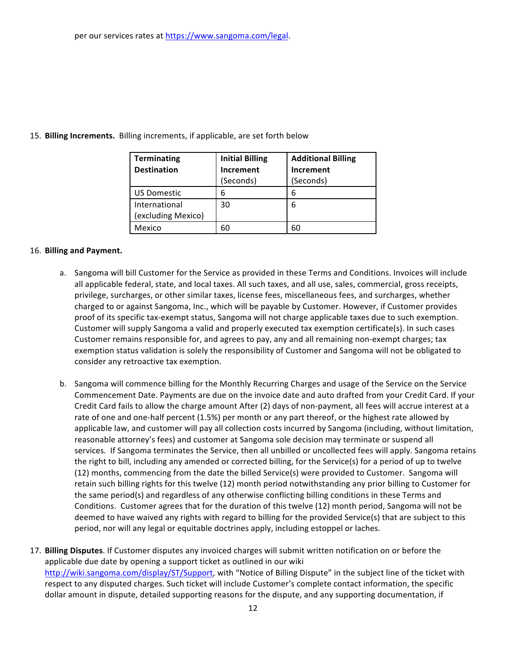| <b>Terminating</b> | <b>Initial Billing</b> | <b>Additional Billing</b> |
|--------------------|------------------------|---------------------------|
| <b>Destination</b> | Increment              | Increment                 |
|                    | (Seconds)              | (Seconds)                 |
| <b>US Domestic</b> | 6                      | 6                         |
| International      | 30                     | 6                         |
| (excluding Mexico) |                        |                           |
| Mexico             |                        | 60                        |

#### 15. Billing Increments. Billing increments, if applicable, are set forth below

#### 16. **Billing and Payment.**

- a. Sangoma will bill Customer for the Service as provided in these Terms and Conditions. Invoices will include all applicable federal, state, and local taxes. All such taxes, and all use, sales, commercial, gross receipts, privilege, surcharges, or other similar taxes, license fees, miscellaneous fees, and surcharges, whether charged to or against Sangoma, Inc., which will be payable by Customer. However, if Customer provides proof of its specific tax-exempt status, Sangoma will not charge applicable taxes due to such exemption. Customer will supply Sangoma a valid and properly executed tax exemption certificate(s). In such cases Customer remains responsible for, and agrees to pay, any and all remaining non-exempt charges; tax exemption status validation is solely the responsibility of Customer and Sangoma will not be obligated to consider any retroactive tax exemption.
- b. Sangoma will commence billing for the Monthly Recurring Charges and usage of the Service on the Service Commencement Date. Payments are due on the invoice date and auto drafted from your Credit Card. If your Credit Card fails to allow the charge amount After (2) days of non-payment, all fees will accrue interest at a rate of one and one-half percent (1.5%) per month or any part thereof, or the highest rate allowed by applicable law, and customer will pay all collection costs incurred by Sangoma (including, without limitation, reasonable attorney's fees) and customer at Sangoma sole decision may terminate or suspend all services. If Sangoma terminates the Service, then all unbilled or uncollected fees will apply. Sangoma retains the right to bill, including any amended or corrected billing, for the Service(s) for a period of up to twelve (12) months, commencing from the date the billed Service(s) were provided to Customer. Sangoma will retain such billing rights for this twelve (12) month period notwithstanding any prior billing to Customer for the same period(s) and regardless of any otherwise conflicting billing conditions in these Terms and Conditions. Customer agrees that for the duration of this twelve (12) month period, Sangoma will not be deemed to have waived any rights with regard to billing for the provided Service(s) that are subject to this period, nor will any legal or equitable doctrines apply, including estoppel or laches.
- 17. Billing Disputes. If Customer disputes any invoiced charges will submit written notification on or before the applicable due date by opening a support ticket as outlined in our wiki http://wiki.sangoma.com/display/ST/Support, with "Notice of Billing Dispute" in the subject line of the ticket with respect to any disputed charges. Such ticket will include Customer's complete contact information, the specific dollar amount in dispute, detailed supporting reasons for the dispute, and any supporting documentation, if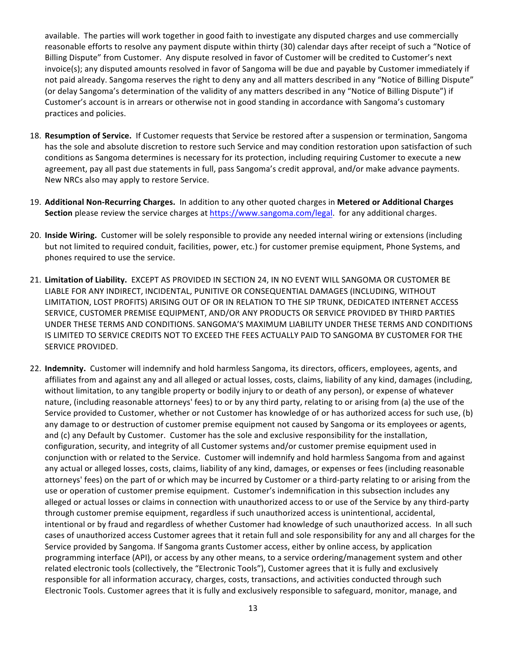available. The parties will work together in good faith to investigate any disputed charges and use commercially reasonable efforts to resolve any payment dispute within thirty (30) calendar days after receipt of such a "Notice of Billing Dispute" from Customer. Any dispute resolved in favor of Customer will be credited to Customer's next invoice(s); any disputed amounts resolved in favor of Sangoma will be due and payable by Customer immediately if not paid already. Sangoma reserves the right to deny any and all matters described in any "Notice of Billing Dispute" (or delay Sangoma's determination of the validity of any matters described in any "Notice of Billing Dispute") if Customer's account is in arrears or otherwise not in good standing in accordance with Sangoma's customary practices and policies.

- 18. Resumption of Service. If Customer requests that Service be restored after a suspension or termination, Sangoma has the sole and absolute discretion to restore such Service and may condition restoration upon satisfaction of such conditions as Sangoma determines is necessary for its protection, including requiring Customer to execute a new agreement, pay all past due statements in full, pass Sangoma's credit approval, and/or make advance payments. New NRCs also may apply to restore Service.
- 19. Additional Non-Recurring Charges. In addition to any other quoted charges in Metered or Additional Charges **Section** please review the service charges at https://www.sangoma.com/legal. for any additional charges.
- 20. Inside Wiring. Customer will be solely responsible to provide any needed internal wiring or extensions (including but not limited to required conduit, facilities, power, etc.) for customer premise equipment, Phone Systems, and phones required to use the service.
- 21. Limitation of Liability. EXCEPT AS PROVIDED IN SECTION 24, IN NO EVENT WILL SANGOMA OR CUSTOMER BE LIABLE FOR ANY INDIRECT, INCIDENTAL, PUNITIVE OR CONSEQUENTIAL DAMAGES (INCLUDING, WITHOUT LIMITATION, LOST PROFITS) ARISING OUT OF OR IN RELATION TO THE SIP TRUNK, DEDICATED INTERNET ACCESS SERVICE, CUSTOMER PREMISE EQUIPMENT, AND/OR ANY PRODUCTS OR SERVICE PROVIDED BY THIRD PARTIES UNDER THESE TERMS AND CONDITIONS. SANGOMA'S MAXIMUM LIABILITY UNDER THESE TERMS AND CONDITIONS IS LIMITED TO SERVICE CREDITS NOT TO EXCEED THE FEES ACTUALLY PAID TO SANGOMA BY CUSTOMER FOR THE SERVICE PROVIDED.
- 22. Indemnity. Customer will indemnify and hold harmless Sangoma, its directors, officers, employees, agents, and affiliates from and against any and all alleged or actual losses, costs, claims, liability of any kind, damages (including, without limitation, to any tangible property or bodily injury to or death of any person), or expense of whatever nature, (including reasonable attorneys' fees) to or by any third party, relating to or arising from (a) the use of the Service provided to Customer, whether or not Customer has knowledge of or has authorized access for such use, (b) any damage to or destruction of customer premise equipment not caused by Sangoma or its employees or agents, and (c) any Default by Customer. Customer has the sole and exclusive responsibility for the installation, configuration, security, and integrity of all Customer systems and/or customer premise equipment used in conjunction with or related to the Service. Customer will indemnify and hold harmless Sangoma from and against any actual or alleged losses, costs, claims, liability of any kind, damages, or expenses or fees (including reasonable attorneys' fees) on the part of or which may be incurred by Customer or a third-party relating to or arising from the use or operation of customer premise equipment. Customer's indemnification in this subsection includes any alleged or actual losses or claims in connection with unauthorized access to or use of the Service by any third-party through customer premise equipment, regardless if such unauthorized access is unintentional, accidental, intentional or by fraud and regardless of whether Customer had knowledge of such unauthorized access. In all such cases of unauthorized access Customer agrees that it retain full and sole responsibility for any and all charges for the Service provided by Sangoma. If Sangoma grants Customer access, either by online access, by application programming interface (API), or access by any other means, to a service ordering/management system and other related electronic tools (collectively, the "Electronic Tools"), Customer agrees that it is fully and exclusively responsible for all information accuracy, charges, costs, transactions, and activities conducted through such Electronic Tools. Customer agrees that it is fully and exclusively responsible to safeguard, monitor, manage, and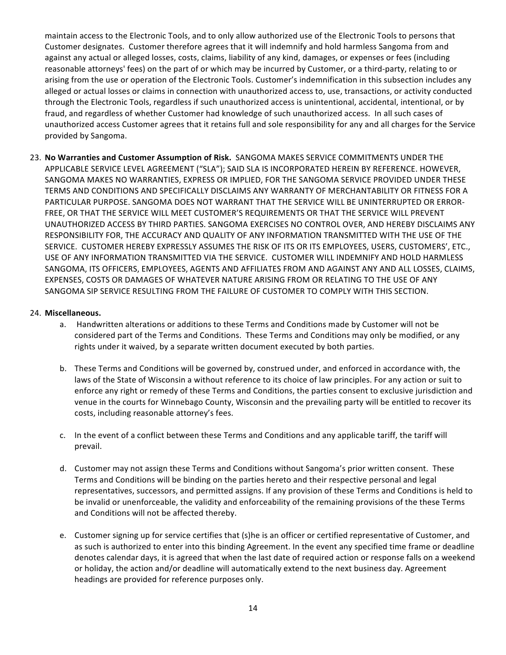maintain access to the Electronic Tools, and to only allow authorized use of the Electronic Tools to persons that Customer designates. Customer therefore agrees that it will indemnify and hold harmless Sangoma from and against any actual or alleged losses, costs, claims, liability of any kind, damages, or expenses or fees (including reasonable attorneys' fees) on the part of or which may be incurred by Customer, or a third-party, relating to or arising from the use or operation of the Electronic Tools. Customer's indemnification in this subsection includes any alleged or actual losses or claims in connection with unauthorized access to, use, transactions, or activity conducted through the Electronic Tools, regardless if such unauthorized access is unintentional, accidental, intentional, or by fraud, and regardless of whether Customer had knowledge of such unauthorized access. In all such cases of unauthorized access Customer agrees that it retains full and sole responsibility for any and all charges for the Service provided by Sangoma.

23. No Warranties and Customer Assumption of Risk. SANGOMA MAKES SERVICE COMMITMENTS UNDER THE APPLICABLE SERVICE LEVEL AGREEMENT ("SLA"); SAID SLA IS INCORPORATED HEREIN BY REFERENCE. HOWEVER, SANGOMA MAKES NO WARRANTIES, EXPRESS OR IMPLIED, FOR THE SANGOMA SERVICE PROVIDED UNDER THESE TERMS AND CONDITIONS AND SPECIFICALLY DISCLAIMS ANY WARRANTY OF MERCHANTABILITY OR FITNESS FOR A PARTICULAR PURPOSE. SANGOMA DOES NOT WARRANT THAT THE SERVICE WILL BE UNINTERRUPTED OR ERROR-FREE, OR THAT THE SERVICE WILL MEET CUSTOMER'S REQUIREMENTS OR THAT THE SERVICE WILL PREVENT UNAUTHORIZED ACCESS BY THIRD PARTIES. SANGOMA EXERCISES NO CONTROL OVER, AND HEREBY DISCLAIMS ANY RESPONSIBILITY FOR, THE ACCURACY AND QUALITY OF ANY INFORMATION TRANSMITTED WITH THE USE OF THE SERVICE. CUSTOMER HEREBY EXPRESSLY ASSUMES THE RISK OF ITS OR ITS EMPLOYEES, USERS, CUSTOMERS', ETC., USE OF ANY INFORMATION TRANSMITTED VIA THE SERVICE. CUSTOMER WILL INDEMNIFY AND HOLD HARMLESS SANGOMA, ITS OFFICERS, EMPLOYEES, AGENTS AND AFFILIATES FROM AND AGAINST ANY AND ALL LOSSES, CLAIMS, EXPENSES, COSTS OR DAMAGES OF WHATEVER NATURE ARISING FROM OR RELATING TO THE USE OF ANY SANGOMA SIP SERVICE RESULTING FROM THE FAILURE OF CUSTOMER TO COMPLY WITH THIS SECTION.

#### 24. **Miscellaneous.**

- a. Handwritten alterations or additions to these Terms and Conditions made by Customer will not be considered part of the Terms and Conditions. These Terms and Conditions may only be modified, or any rights under it waived, by a separate written document executed by both parties.
- b. These Terms and Conditions will be governed by, construed under, and enforced in accordance with, the laws of the State of Wisconsin a without reference to its choice of law principles. For any action or suit to enforce any right or remedy of these Terms and Conditions, the parties consent to exclusive jurisdiction and venue in the courts for Winnebago County, Wisconsin and the prevailing party will be entitled to recover its costs, including reasonable attorney's fees.
- c. In the event of a conflict between these Terms and Conditions and any applicable tariff, the tariff will prevail.
- d. Customer may not assign these Terms and Conditions without Sangoma's prior written consent. These Terms and Conditions will be binding on the parties hereto and their respective personal and legal representatives, successors, and permitted assigns. If any provision of these Terms and Conditions is held to be invalid or unenforceable, the validity and enforceability of the remaining provisions of the these Terms and Conditions will not be affected thereby.
- e. Customer signing up for service certifies that (s)he is an officer or certified representative of Customer, and as such is authorized to enter into this binding Agreement. In the event any specified time frame or deadline denotes calendar days, it is agreed that when the last date of required action or response falls on a weekend or holiday, the action and/or deadline will automatically extend to the next business day. Agreement headings are provided for reference purposes only.